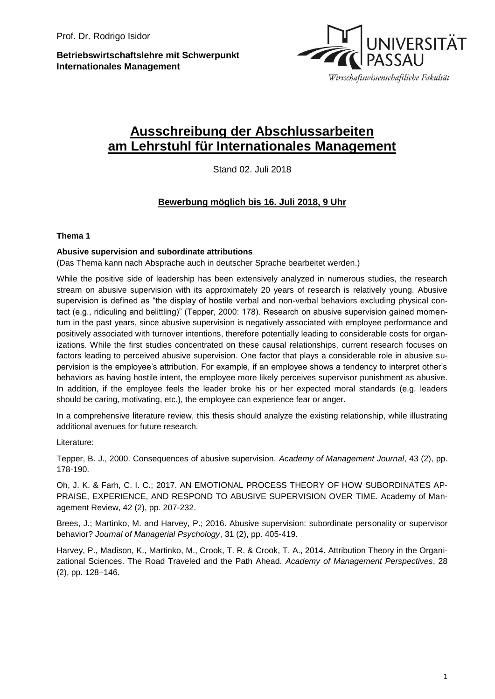**Betriebswirtschaftslehre mit Schwerpunkt Internationales Management**



# **Ausschreibung der Abschlussarbeiten am Lehrstuhl für Internationales Management**

Stand 02. Juli 2018

## **Bewerbung möglich bis 16. Juli 2018, 9 Uhr**

### **Thema 1**

### **Abusive supervision and subordinate attributions**

(Das Thema kann nach Absprache auch in deutscher Sprache bearbeitet werden.)

While the positive side of leadership has been extensively analyzed in numerous studies, the research stream on abusive supervision with its approximately 20 years of research is relatively young. Abusive supervision is defined as "the display of hostile verbal and non-verbal behaviors excluding physical contact (e.g., ridiculing and belittling)" (Tepper, 2000: 178). Research on abusive supervision gained momentum in the past years, since abusive supervision is negatively associated with employee performance and positively associated with turnover intentions, therefore potentially leading to considerable costs for organizations. While the first studies concentrated on these causal relationships, current research focuses on factors leading to perceived abusive supervision. One factor that plays a considerable role in abusive supervision is the employee's attribution. For example, if an employee shows a tendency to interpret other's behaviors as having hostile intent, the employee more likely perceives supervisor punishment as abusive. In addition, if the employee feels the leader broke his or her expected moral standards (e.g. leaders should be caring, motivating, etc.), the employee can experience fear or anger.

In a comprehensive literature review, this thesis should analyze the existing relationship, while illustrating additional avenues for future research.

Literature:

Tepper, B. J., 2000. Consequences of abusive supervision. *Academy of Management Journal*, 43 (2), pp. 178-190.

Oh, J. K. & Farh, C. I. C.; 2017. AN EMOTIONAL PROCESS THEORY OF HOW SUBORDINATES AP-PRAISE, EXPERIENCE, AND RESPOND TO ABUSIVE SUPERVISION OVER TIME. Academy of Management Review, 42 (2), pp. 207-232.

Brees, J.; Martinko, M. and Harvey, P.; 2016. Abusive supervision: subordinate personality or supervisor behavior? *Journal of Managerial Psychology*, 31 (2), pp. 405-419.

Harvey, P., Madison, K., Martinko, M., Crook, T. R. & Crook, T. A., 2014. Attribution Theory in the Organizational Sciences. The Road Traveled and the Path Ahead. *Academy of Management Perspectives*, 28 (2), pp. 128–146.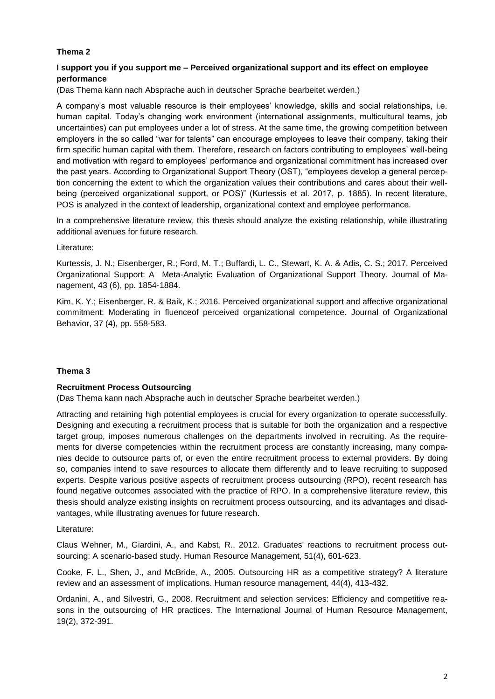### **Thema 2**

### **I support you if you support me – Perceived organizational support and its effect on employee performance**

(Das Thema kann nach Absprache auch in deutscher Sprache bearbeitet werden.)

A company's most valuable resource is their employees' knowledge, skills and social relationships, i.e. human capital. Today's changing work environment (international assignments, multicultural teams, job uncertainties) can put employees under a lot of stress. At the same time, the growing competition between employers in the so called "war for talents" can encourage employees to leave their company, taking their firm specific human capital with them. Therefore, research on factors contributing to employees' well-being and motivation with regard to employees' performance and organizational commitment has increased over the past years. According to Organizational Support Theory (OST), "employees develop a general perception concerning the extent to which the organization values their contributions and cares about their wellbeing (perceived organizational support, or POS)" (Kurtessis et al. 2017, p. 1885). In recent literature, POS is analyzed in the context of leadership, organizational context and employee performance.

In a comprehensive literature review, this thesis should analyze the existing relationship, while illustrating additional avenues for future research.

Literature:

Kurtessis, J. N.; Eisenberger, R.; Ford, M. T.; Buffardi, L. C., Stewart, K. A. & Adis, C. S.; 2017. Perceived Organizational Support: A Meta-Analytic Evaluation of Organizational Support Theory. Journal of Management, 43 (6), pp. 1854-1884.

Kim, K. Y.; Eisenberger, R. & Baik, K.; 2016. Perceived organizational support and affective organizational commitment: Moderating in fluenceof perceived organizational competence. Journal of Organizational Behavior, 37 (4), pp. 558-583.

#### **Thema 3**

#### **Recruitment Process Outsourcing**

(Das Thema kann nach Absprache auch in deutscher Sprache bearbeitet werden.)

Attracting and retaining high potential employees is crucial for every organization to operate successfully. Designing and executing a recruitment process that is suitable for both the organization and a respective target group, imposes numerous challenges on the departments involved in recruiting. As the requirements for diverse competencies within the recruitment process are constantly increasing, many companies decide to outsource parts of, or even the entire recruitment process to external providers. By doing so, companies intend to save resources to allocate them differently and to leave recruiting to supposed experts. Despite various positive aspects of recruitment process outsourcing (RPO), recent research has found negative outcomes associated with the practice of RPO. In a comprehensive literature review, this thesis should analyze existing insights on recruitment process outsourcing, and its advantages and disadvantages, while illustrating avenues for future research.

Literature:

Claus Wehner, M., Giardini, A., and Kabst, R., 2012. Graduates' reactions to recruitment process outsourcing: A scenario‐based study. Human Resource Management, 51(4), 601-623.

Cooke, F. L., Shen, J., and McBride, A., 2005. Outsourcing HR as a competitive strategy? A literature review and an assessment of implications. Human resource management, 44(4), 413-432.

Ordanini, A., and Silvestri, G., 2008. Recruitment and selection services: Efficiency and competitive reasons in the outsourcing of HR practices. The International Journal of Human Resource Management, 19(2), 372-391.